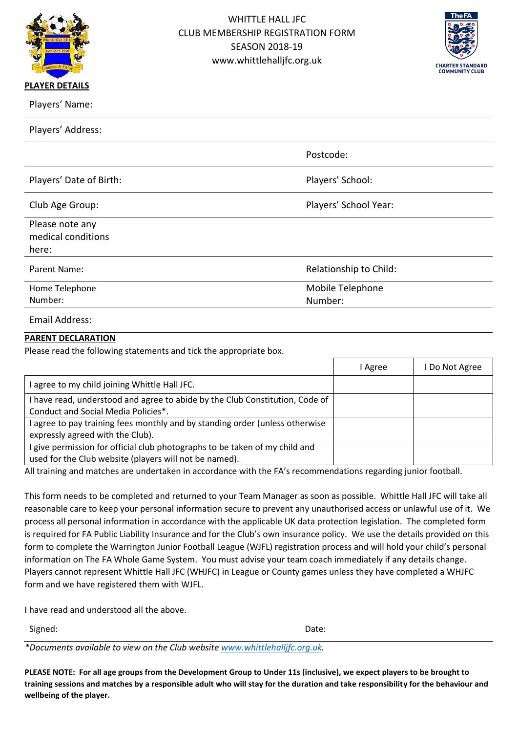



Players' Address:

|                         | Postcode:              |
|-------------------------|------------------------|
| Players' Date of Birth: | Players' School:       |
| Club Age Group:         | Players' School Year:  |
| Please note any         |                        |
| medical conditions      |                        |
| here:                   |                        |
| Parent Name:            | Relationship to Child: |
| Home Telephone          | Mobile Telephone       |
| Number:                 | Number:                |
|                         |                        |

Email Address:

# **PARENT DECLARATION**

Please read the following statements and tick the appropriate box.

|                                                                              | I Agree | Do Not Agree |
|------------------------------------------------------------------------------|---------|--------------|
| I agree to my child joining Whittle Hall JFC.                                |         |              |
| I have read, understood and agree to abide by the Club Constitution, Code of |         |              |
| Conduct and Social Media Policies*.                                          |         |              |
| I agree to pay training fees monthly and by standing order (unless otherwise |         |              |
| expressly agreed with the Club).                                             |         |              |
| I give permission for official club photographs to be taken of my child and  |         |              |
| used for the Club website (players will not be named).                       |         |              |

All training and matches are undertaken in accordance with the FA's recommendations regarding junior football.

This form needs to be completed and returned to your Team Manager as soon as possible. Whittle Hall JFC will take all reasonable care to keep your personal information secure to prevent any unauthorised access or unlawful use of it. We process all personal information in accordance with the applicable UK data protection legislation. The completed form is required for FA Public Liability Insurance and for the Club's own insurance policy. We use the details provided on this form to complete the Warrington Junior Football League (WJFL) registration process and will hold your child's personal information on The FA Whole Game System. You must advise your team coach immediately if any details change. Players cannot represent Whittle Hall JFC (WHJFC) in League or County games unless they have completed a WHJFC form and we have registered them with WJFL.

I have read and understood all the above.

Signed: Date:

*\*Documents available to view on the Club website [www.whittlehalljfc.org.uk.](http://www.whittlehalljfc.org.uk/)* 

**PLEASE NOTE: For all age groups from the Development Group to Under 11s (inclusive), we expect players to be brought to training sessions and matches by a responsible adult who will stay for the duration and take responsibility for the behaviour and wellbeing of the player.**